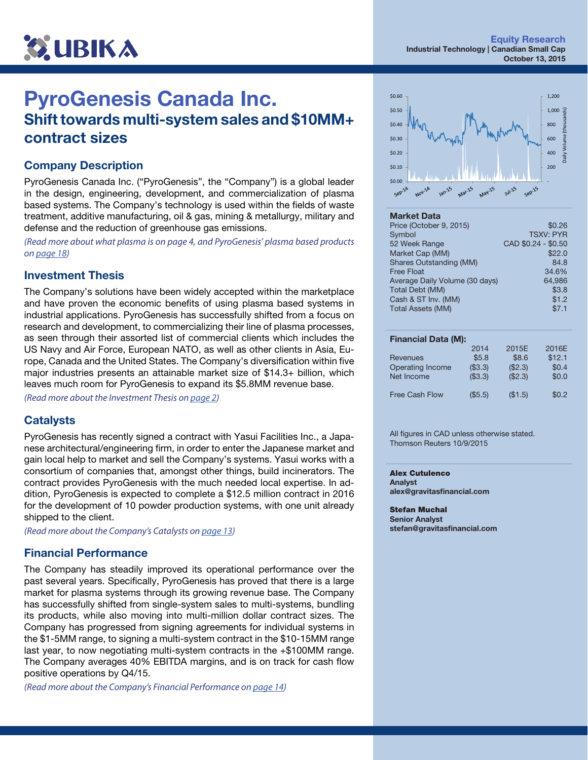

## PyroGenesis Canada Inc. Shift towards multi-system sales and \$10MM+ contract sizes

### Company Description

PyroGenesis Canada Inc. ("PyroGenesis", the "Company") is a global leader in the design, engineering, development, and commercialization of plasma based systems. The Company's technology is used within the fields of waste treatment, additive manufacturing, oil & gas, mining & metallurgy, military and defense and the reduction of greenhouse gas emissions.

*(Read more about what plasma is on page 4, and PyroGenesis' plasma based products on [page 18](#page-17-0))*

#### Investment Thesis

The Company's solutions have been widely accepted within the marketplace and have proven the economic benefits of using plasma based systems in industrial applications. PyroGenesis has successfully shifted from a focus on research and development, to commercializing their line of plasma processes, as seen through their assorted list of commercial clients which includes the US Navy and Air Force, European NATO, as well as other clients in Asia, Europe, Canada and the United States. The Company's diversification within five major industries presents an attainable market size of \$14.3+ billion, which leaves much room for PyroGenesis to expand its \$5.8MM revenue base.

*(Read more about the Investment Thesis on [page 2](#page-1-0))*

#### **Catalysts**

PyroGenesis has recently signed a contract with Yasui Facilities Inc., a Japanese architectural/engineering firm, in order to enter the Japanese market and gain local help to market and sell the Company's systems. Yasui works with a consortium of companies that, amongst other things, build incinerators. The contract provides PyroGenesis with the much needed local expertise. In addition, PyroGenesis is expected to complete a \$12.5 million contract in 2016 for the development of 10 powder production systems, with one unit already shipped to the client.

*(Read more about the Company's Catalysts on [page 13](#page-12-0))*

#### Financial Performance

The Company has steadily improved its operational performance over the past several years. Specifically, PyroGenesis has proved that there is a large market for plasma systems through its growing revenue base. The Company has successfully shifted from single-system sales to multi-systems, bundling its products, while also moving into multi-million dollar contract sizes. The Company has progressed from signing agreements for individual systems in the \$1-5MM range, to signing a multi-system contract in the \$10-15MM range last year, to now negotiating multi-system contracts in the +\$100MM range. The Company averages 40% EBITDA margins, and is on track for cash flow positive operations by Q4/15.

*(Read more about the Company's Financial Performance on [page 14\)](#page-13-0)* 



#### Market Data

| Price (October 9, 2015)        | \$0.26              |
|--------------------------------|---------------------|
| Symbol                         | <b>TSXV: PYR</b>    |
| 52 Week Range                  | CAD \$0.24 - \$0.50 |
| Market Cap (MM)                | \$22.0              |
| Shares Outstanding (MM)        | 84.8                |
| <b>Free Float</b>              | 34.6%               |
| Average Daily Volume (30 days) | 64.986              |
| <b>Total Debt (MM)</b>         | \$3.8               |
| Cash & ST Inv. (MM)            | \$1.2               |
| <b>Total Assets (MM)</b>       | \$7.1               |
|                                |                     |

#### Financial Data (M):

| 2014    | 2015E   | 2016E  |
|---------|---------|--------|
| \$5.8   | \$8.6   | \$12.1 |
| (\$3.3) | (\$2.3) | \$0.4  |
| (\$3.3) | (\$2.3) | \$0.0  |
|         |         |        |
| (\$5.5) | (\$1.5) | \$0.2  |
|         |         |        |

All figures in CAD unless otherwise stated. Thomson Reuters 10/9/2015

Alex Cutulenco Analyst alex@gravitasfinancial.com

Stefan Muchal Senior Analyst stefan@gravitasfinancial.com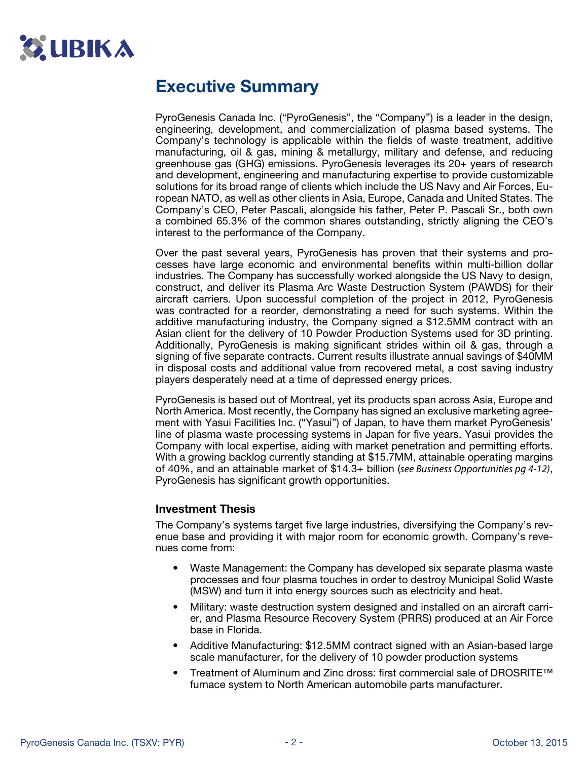<span id="page-1-0"></span>

## Executive Summary

PyroGenesis Canada Inc. ("PyroGenesis", the "Company") is a leader in the design, engineering, development, and commercialization of plasma based systems. The Company's technology is applicable within the fields of waste treatment, additive manufacturing, oil & gas, mining & metallurgy, military and defense, and reducing greenhouse gas (GHG) emissions. PyroGenesis leverages its 20+ years of research and development, engineering and manufacturing expertise to provide customizable solutions for its broad range of clients which include the US Navy and Air Forces, European NATO, as well as other clients in Asia, Europe, Canada and United States. The Company's CEO, Peter Pascali, alongside his father, Peter P. Pascali Sr., both own a combined 65.3% of the common shares outstanding, strictly aligning the CEO's interest to the performance of the Company.

Over the past several years, PyroGenesis has proven that their systems and processes have large economic and environmental benefits within multi-billion dollar industries. The Company has successfully worked alongside the US Navy to design, construct, and deliver its Plasma Arc Waste Destruction System (PAWDS) for their aircraft carriers. Upon successful completion of the project in 2012, PyroGenesis was contracted for a reorder, demonstrating a need for such systems. Within the additive manufacturing industry, the Company signed a \$12.5MM contract with an Asian client for the delivery of 10 Powder Production Systems used for 3D printing. Additionally, PyroGenesis is making significant strides within oil & gas, through a signing of five separate contracts. Current results illustrate annual savings of \$40MM in disposal costs and additional value from recovered metal, a cost saving industry players desperately need at a time of depressed energy prices.

PyroGenesis is based out of Montreal, yet its products span across Asia, Europe and North America. Most recently, the Company has signed an exclusive marketing agreement with Yasui Facilities Inc. ("Yasui") of Japan, to have them market PyroGenesis' line of plasma waste processing systems in Japan for five years. Yasui provides the Company with local expertise, aiding with market penetration and permitting efforts. With a growing backlog currently standing at \$15.7MM, attainable operating margins of 40%, and an attainable market of \$14.3+ billion (*see Business Opportunities pg 4-12)*, PyroGenesis has significant growth opportunities.

#### Investment Thesis

The Company's systems target five large industries, diversifying the Company's revenue base and providing it with major room for economic growth. Company's revenues come from:

- Waste Management: the Company has developed six separate plasma waste processes and four plasma touches in order to destroy Municipal Solid Waste (MSW) and turn it into energy sources such as electricity and heat.
- Military: waste destruction system designed and installed on an aircraft carrier, and Plasma Resource Recovery System (PRRS) produced at an Air Force base in Florida.
- Additive Manufacturing: \$12.5MM contract signed with an Asian-based large scale manufacturer, for the delivery of 10 powder production systems
- Treatment of Aluminum and Zinc dross: first commercial sale of DROSRITE™ furnace system to North American automobile parts manufacturer.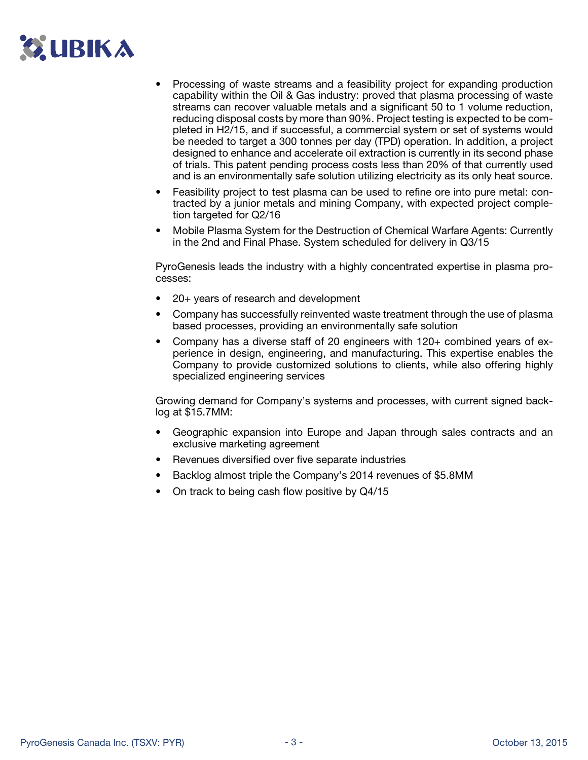# **C. UBIKA**

- Processing of waste streams and a feasibility project for expanding production capability within the Oil & Gas industry: proved that plasma processing of waste streams can recover valuable metals and a significant 50 to 1 volume reduction, reducing disposal costs by more than 90%. Project testing is expected to be completed in H2/15, and if successful, a commercial system or set of systems would be needed to target a 300 tonnes per day (TPD) operation. In addition, a project designed to enhance and accelerate oil extraction is currently in its second phase of trials. This patent pending process costs less than 20% of that currently used and is an environmentally safe solution utilizing electricity as its only heat source.
- Feasibility project to test plasma can be used to refine ore into pure metal: contracted by a junior metals and mining Company, with expected project completion targeted for Q2/16
- Mobile Plasma System for the Destruction of Chemical Warfare Agents: Currently in the 2nd and Final Phase. System scheduled for delivery in Q3/15

PyroGenesis leads the industry with a highly concentrated expertise in plasma processes:

- 20+ years of research and development
- Company has successfully reinvented waste treatment through the use of plasma based processes, providing an environmentally safe solution
- Company has a diverse staff of 20 engineers with 120+ combined years of experience in design, engineering, and manufacturing. This expertise enables the Company to provide customized solutions to clients, while also offering highly specialized engineering services

Growing demand for Company's systems and processes, with current signed backlog at \$15.7MM:

- Geographic expansion into Europe and Japan through sales contracts and an exclusive marketing agreement
- Revenues diversified over five separate industries
- Backlog almost triple the Company's 2014 revenues of \$5.8MM
- On track to being cash flow positive by Q4/15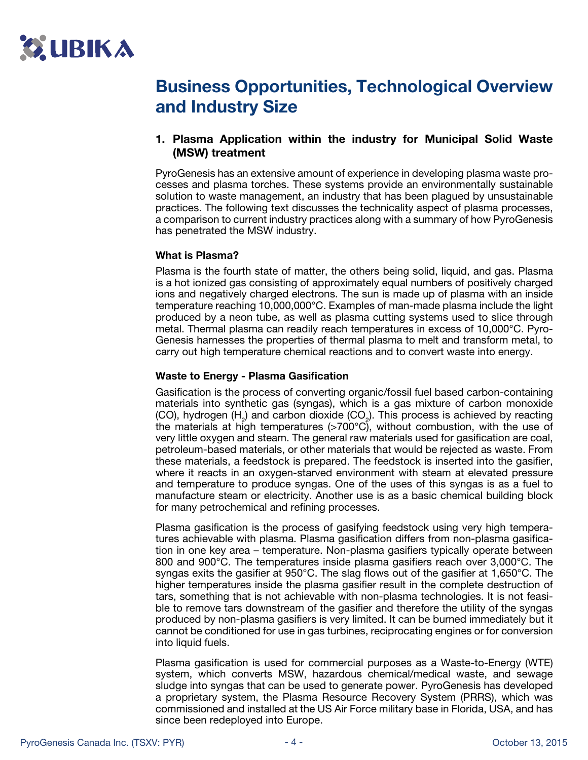

## Business Opportunities, Technological Overview and Industry Size

### 1. Plasma Application within the industry for Municipal Solid Waste (MSW) treatment

PyroGenesis has an extensive amount of experience in developing plasma waste processes and plasma torches. These systems provide an environmentally sustainable solution to waste management, an industry that has been plagued by unsustainable practices. The following text discusses the technicality aspect of plasma processes, a comparison to current industry practices along with a summary of how PyroGenesis has penetrated the MSW industry.

#### What is Plasma?

Plasma is the fourth state of matter, the others being solid, liquid, and gas. Plasma is a hot ionized gas consisting of approximately equal numbers of positively charged ions and negatively charged electrons. The sun is made up of plasma with an inside temperature reaching 10,000,000°C. Examples of man-made plasma include the light produced by a neon tube, as well as plasma cutting systems used to slice through metal. Thermal plasma can readily reach temperatures in excess of 10,000°C. Pyro-Genesis harnesses the properties of thermal plasma to melt and transform metal, to carry out high temperature chemical reactions and to convert waste into energy.

#### Waste to Energy - Plasma Gasification

Gasification is the process of converting organic/fossil fuel based carbon-containing materials into synthetic gas (syngas), which is a gas mixture of carbon monoxide (CO), hydrogen  $(H_2)$  and carbon dioxide (CO<sub>2</sub>). This process is achieved by reacting the materials at high temperatures (>700°C), without combustion, with the use of very little oxygen and steam. The general raw materials used for gasification are coal, petroleum-based materials, or other materials that would be rejected as waste. From these materials, a feedstock is prepared. The feedstock is inserted into the gasifier, where it reacts in an oxygen-starved environment with steam at elevated pressure and temperature to produce syngas. One of the uses of this syngas is as a fuel to manufacture steam or electricity. Another use is as a basic chemical building block for many petrochemical and refining processes.

Plasma gasification is the process of gasifying feedstock using very high temperatures achievable with plasma. Plasma gasification differs from non-plasma gasification in one key area – temperature. Non-plasma gasifiers typically operate between 800 and 900°C. The temperatures inside plasma gasifiers reach over 3,000°C. The syngas exits the gasifier at 950°C. The slag flows out of the gasifier at 1,650°C. The higher temperatures inside the plasma gasifier result in the complete destruction of tars, something that is not achievable with non-plasma technologies. It is not feasible to remove tars downstream of the gasifier and therefore the utility of the syngas produced by non-plasma gasifiers is very limited. It can be burned immediately but it cannot be conditioned for use in gas turbines, reciprocating engines or for conversion into liquid fuels.

Plasma gasification is used for commercial purposes as a Waste-to-Energy (WTE) system, which converts MSW, hazardous chemical/medical waste, and sewage sludge into syngas that can be used to generate power. PyroGenesis has developed a proprietary system, the Plasma Resource Recovery System (PRRS), which was commissioned and installed at the US Air Force military base in Florida, USA, and has since been redeployed into Europe.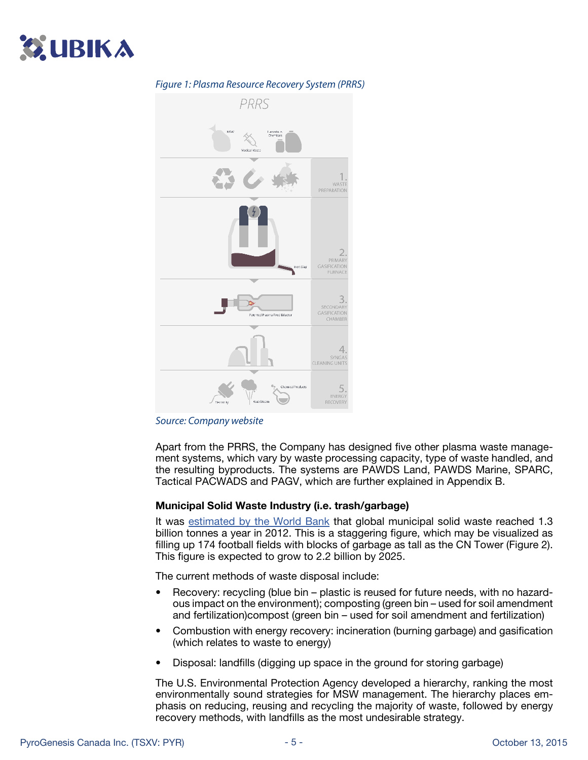



#### *Figure 1: Plasma Resource Recovery System (PRRS)*

#### *Source: Company website*

Apart from the PRRS, the Company has designed five other plasma waste management systems, which vary by waste processing capacity, type of waste handled, and the resulting byproducts. The systems are PAWDS Land, PAWDS Marine, SPARC, Tactical PACWADS and PAGV, which are further explained in Appendix B.

#### Municipal Solid Waste Industry (i.e. trash/garbage)

It was [estimated by the World Bank](http://siteresources.worldbank.org/INTURBANDEVELOPMENT/Resources/336387-1334852610766/What_a_Waste2012_Final.pdf) that global municipal solid waste reached 1.3 billion tonnes a year in 2012. This is a staggering figure, which may be visualized as filling up 174 football fields with blocks of garbage as tall as the CN Tower (Figure 2). This figure is expected to grow to 2.2 billion by 2025.

The current methods of waste disposal include:

- Recovery: recycling (blue bin plastic is reused for future needs, with no hazardous impact on the environment); composting (green bin – used for soil amendment and fertilization)compost (green bin – used for soil amendment and fertilization)
- Combustion with energy recovery: incineration (burning garbage) and gasification (which relates to waste to energy)
- Disposal: landfills (digging up space in the ground for storing garbage)

The U.S. Environmental Protection Agency developed a hierarchy, ranking the most environmentally sound strategies for MSW management. The hierarchy places emphasis on reducing, reusing and recycling the majority of waste, followed by energy recovery methods, with landfills as the most undesirable strategy.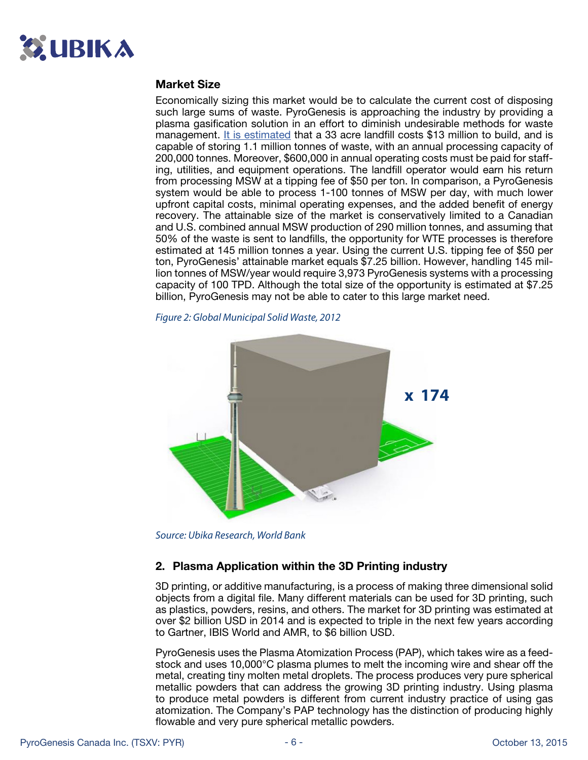

#### Market Size

Economically sizing this market would be to calculate the current cost of disposing such large sums of waste. PyroGenesis is approaching the industry by providing a plasma gasification solution in an effort to diminish undesirable methods for waste management. [It is estimated](http://www.epa.gov/wastes/nonhaz/municipal/pubs/2013_advncng_smm_rpt.pdf) that a 33 acre landfill costs \$13 million to build, and is capable of storing 1.1 million tonnes of waste, with an annual processing capacity of 200,000 tonnes. Moreover, \$600,000 in annual operating costs must be paid for staffing, utilities, and equipment operations. The landfill operator would earn his return from processing MSW at a tipping fee of \$50 per ton. In comparison, a PyroGenesis system would be able to process 1-100 tonnes of MSW per day, with much lower upfront capital costs, minimal operating expenses, and the added benefit of energy recovery. The attainable size of the market is conservatively limited to a Canadian and U.S. combined annual MSW production of 290 million tonnes, and assuming that 50% of the waste is sent to landfills, the opportunity for WTE processes is therefore estimated at 145 million tonnes a year. Using the current U.S. tipping fee of \$50 per ton, PyroGenesis' attainable market equals \$7.25 billion. However, handling 145 million tonnes of MSW/year would require 3,973 PyroGenesis systems with a processing capacity of 100 TPD. Although the total size of the opportunity is estimated at \$7.25 billion, PyroGenesis may not be able to cater to this large market need.

*Figure 2: Global Municipal Solid Waste, 2012*



*Source: Ubika Research, World Bank*

#### 2. Plasma Application within the 3D Printing industry

3D printing, or additive manufacturing, is a process of making three dimensional solid objects from a digital file. Many different materials can be used for 3D printing, such as plastics, powders, resins, and others. The market for 3D printing was estimated at over \$2 billion USD in 2014 and is expected to triple in the next few years according to Gartner, IBIS World and AMR, to \$6 billion USD.

PyroGenesis uses the Plasma Atomization Process (PAP), which takes wire as a feedstock and uses 10,000°C plasma plumes to melt the incoming wire and shear off the metal, creating tiny molten metal droplets. The process produces very pure spherical metallic powders that can address the growing 3D printing industry. Using plasma to produce metal powders is different from current industry practice of using gas atomization. The Company's PAP technology has the distinction of producing highly flowable and very pure spherical metallic powders.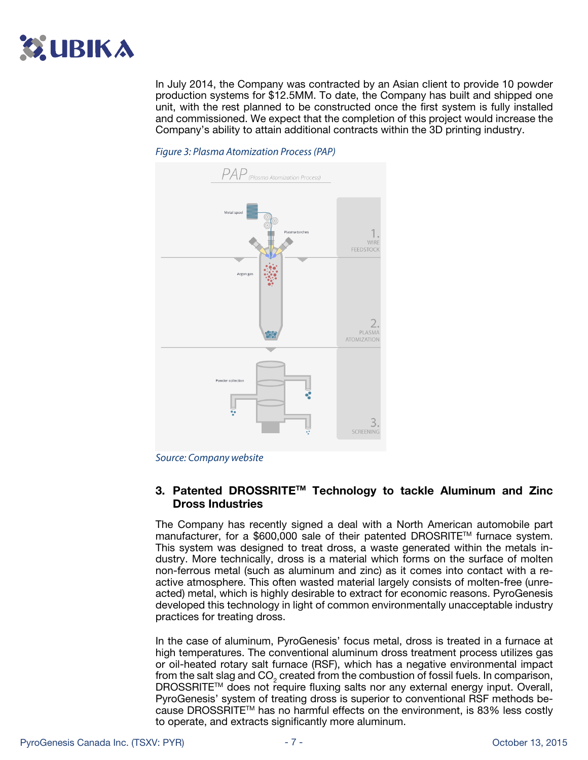

In July 2014, the Company was contracted by an Asian client to provide 10 powder production systems for \$12.5MM. To date, the Company has built and shipped one unit, with the rest planned to be constructed once the first system is fully installed and commissioned. We expect that the completion of this project would increase the Company's ability to attain additional contracts within the 3D printing industry.



*Figure 3: Plasma Atomization Process (PAP)*



### 3. Patented DROSSRITETM Technology to tackle Aluminum and Zinc Dross Industries

The Company has recently signed a deal with a North American automobile part manufacturer, for a \$600,000 sale of their patented DROSRITE™ furnace system. This system was designed to treat dross, a waste generated within the metals industry. More technically, dross is a material which forms on the surface of molten non-ferrous metal (such as aluminum and zinc) as it comes into contact with a reactive atmosphere. This often wasted material largely consists of molten-free (unreacted) metal, which is highly desirable to extract for economic reasons. PyroGenesis developed this technology in light of common environmentally unacceptable industry practices for treating dross.

In the case of aluminum, PyroGenesis' focus metal, dross is treated in a furnace at high temperatures. The conventional aluminum dross treatment process utilizes gas or oil-heated rotary salt furnace (RSF), which has a negative environmental impact from the salt slag and  $CO<sub>2</sub>$  created from the combustion of fossil fuels. In comparison, DROSSRITE™ does not require fluxing salts nor any external energy input. Overall, PyroGenesis' system of treating dross is superior to conventional RSF methods because DROSSRITETM has no harmful effects on the environment, is 83% less costly to operate, and extracts significantly more aluminum.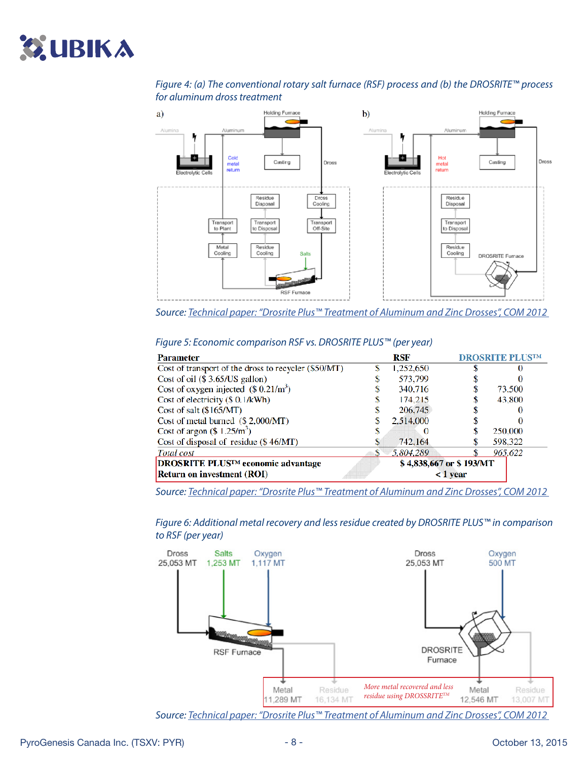# **SUBIKA**

### *Figure 4: (a) The conventional rotary salt furnace (RSF) process and (b) the DROSRITE™ process for aluminum dross treatment*



*Source: [Technical paper: "Drosrite Plus™ Treatment of Aluminum and Zinc Drosses", COM 2012](http://www.pyrogenesis.com/wp-content/uploads/2014/01/3.-2012-09-Drosrite-Plus-COM-2012-Paper.pdf)* 

| Parameter                                                                      |   | RSF       |                                          | <b>DROSRITE PLUSTM</b> |
|--------------------------------------------------------------------------------|---|-----------|------------------------------------------|------------------------|
| Cost of transport of the dross to recycler (\$50/MT)                           | S | 1,252,650 |                                          |                        |
| Cost of oil $(\$3.65/US$ gallon)                                               |   | 573,799   |                                          |                        |
| Cost of oxygen injected $(\$0.21/m^3)$                                         |   | 340,716   |                                          | 73,500                 |
| Cost of electricity (\$ 0.1/kWh)                                               |   | 174.215   |                                          | 43,800                 |
| Cost of salt (\$165/MT)                                                        |   | 206.745   |                                          |                        |
| Cost of metal burned (\$2,000/MT)                                              |   | 2,514,000 |                                          |                        |
| Cost of argon $(\$ 1.25/m^3)$                                                  |   |           |                                          | 250,000                |
| Cost of disposal of residue $(\$46/MT)$                                        |   | 742.164   |                                          | 598.322                |
| Total cost                                                                     | S | 5,804,289 |                                          | 965,622                |
| <b>DROSRITE PLUSTM</b> economic advantage<br><b>Return on investment (ROI)</b> |   |           | \$4,838,667 or \$193/MT<br>$\leq 1$ year |                        |

#### *Figure 5: Economic comparison RSF vs. DROSRITE PLUS™ (per year)*

*Source: [Technical paper: "Drosrite Plus™ Treatment of Aluminum and Zinc Drosses", COM 2012](http://www.pyrogenesis.com/wp-content/uploads/2014/01/3.-2012-09-Drosrite-Plus-COM-2012-Paper.pdf)* 

*Figure 6: Additional metal recovery and less residue created by DROSRITE PLUS™ in comparison to RSF (per year)*



*Source: [Technical paper: "Drosrite Plus™ Treatment of Aluminum and Zinc Drosses", COM 2012](http://www.pyrogenesis.com/wp-content/uploads/2014/01/3.-2012-09-Drosrite-Plus-COM-2012-Paper.pdf)*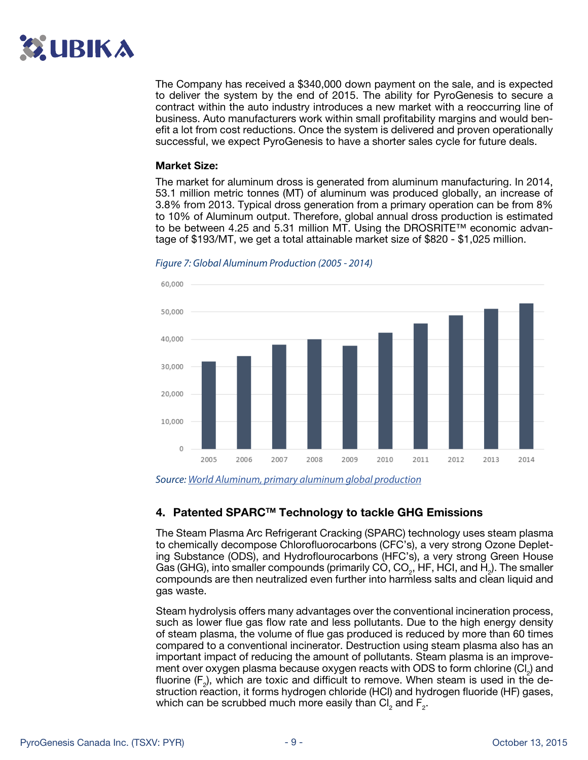

The Company has received a \$340,000 down payment on the sale, and is expected to deliver the system by the end of 2015. The ability for PyroGenesis to secure a contract within the auto industry introduces a new market with a reoccurring line of business. Auto manufacturers work within small profitability margins and would benefit a lot from cost reductions. Once the system is delivered and proven operationally successful, we expect PyroGenesis to have a shorter sales cycle for future deals.

#### Market Size:

The market for aluminum dross is generated from aluminum manufacturing. In 2014, 53.1 million metric tonnes (MT) of aluminum was produced globally, an increase of 3.8% from 2013. Typical dross generation from a primary operation can be from 8% to 10% of Aluminum output. Therefore, global annual dross production is estimated to be between 4.25 and 5.31 million MT. Using the DROSRITE™ economic advantage of \$193/MT, we get a total attainable market size of \$820 - \$1,025 million.



#### *Figure 7: Global Aluminum Production (2005 - 2014)*

*Source: [World Aluminum, primary aluminum global production](http://www.world-aluminium.org/statistics/#data)*

#### 4. Patented SPARCTM Technology to tackle GHG Emissions

The Steam Plasma Arc Refrigerant Cracking (SPARC) technology uses steam plasma to chemically decompose Chlorofluorocarbons (CFC's), a very strong Ozone Depleting Substance (ODS), and Hydroflourocarbons (HFC's), a very strong Green House Gas (GHG), into smaller compounds (primarily CO, CO<sub>2</sub>, HF, HCI, and H<sub>2</sub>). The smaller compounds are then neutralized even further into harmless salts and clean liquid and gas waste.

Steam hydrolysis offers many advantages over the conventional incineration process, such as lower flue gas flow rate and less pollutants. Due to the high energy density of steam plasma, the volume of flue gas produced is reduced by more than 60 times compared to a conventional incinerator. Destruction using steam plasma also has an important impact of reducing the amount of pollutants. Steam plasma is an improvement over oxygen plasma because oxygen reacts with ODS to form chlorine  $\left( \text{Cl}_{2} \right)$  and fluorine ( $F_2$ ), which are toxic and difficult to remove. When steam is used in the destruction reaction, it forms hydrogen chloride (HCl) and hydrogen fluoride (HF) gases, which can be scrubbed much more easily than Cl<sub>2</sub> and F<sub>2</sub>.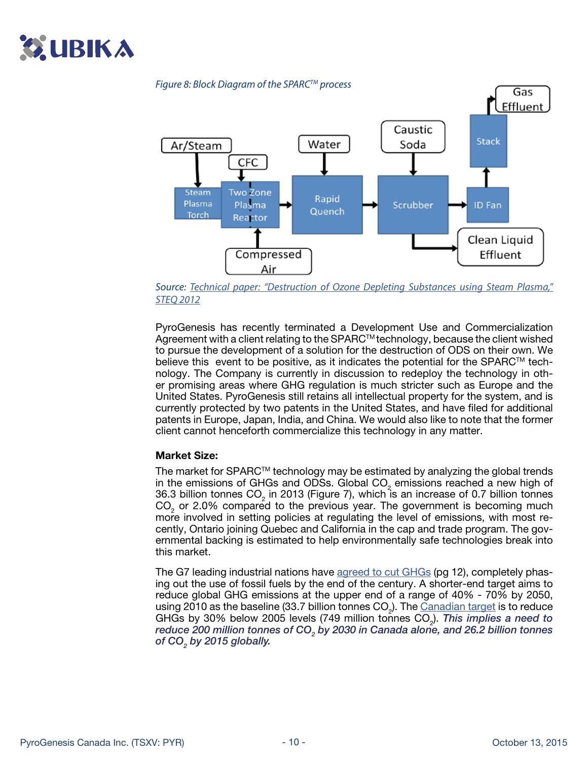



*Source: [Technical paper: "Destruction of Ozone Depleting Substances using Steam Plasma,"](http://www.pyrogenesis.com/wp-content/uploads/2014/01/2.-2012-10-Destruction-of-ODS-Using-Steam-Plasma-IT3-2012-Paper.pdf)  [STEQ 2012](http://www.pyrogenesis.com/wp-content/uploads/2014/01/2.-2012-10-Destruction-of-ODS-Using-Steam-Plasma-IT3-2012-Paper.pdf)*

PyroGenesis has recently terminated a Development Use and Commercialization Agreement with a client relating to the SPARC™ technology, because the client wished to pursue the development of a solution for the destruction of ODS on their own. We believe this event to be positive, as it indicates the potential for the SPARC<sup>TM</sup> technology. The Company is currently in discussion to redeploy the technology in other promising areas where GHG regulation is much stricter such as Europe and the United States. PyroGenesis still retains all intellectual property for the system, and is currently protected by two patents in the United States, and have filed for additional patents in Europe, Japan, India, and China. We would also like to note that the former client cannot henceforth commercialize this technology in any matter.

#### Market Size:

The market for SPARC™ technology may be estimated by analyzing the global trends in the emissions of GHGs and ODSs. Global CO<sub>2</sub> emissions reached a new high of 36.3 billion tonnes CO<sub>2</sub> in 2013 (Figure 7), which is an increase of 0.7 billion tonnes  $CO<sub>2</sub>$  or 2.0% compared to the previous year. The government is becoming much more involved in setting policies at regulating the level of emissions, with most recently, Ontario joining Quebec and California in the cap and trade program. The governmental backing is estimated to help environmentally safe technologies break into this market.

The G7 leading industrial nations have [agreed to cut G](https://sustainabledevelopment.un.org/content/documents/7320LEADERS%20STATEMENT_FINAL_CLEAN.pdf)HGs (pg 12), completely phasing out the use of fossil fuels by the end of the century. A shorter-end target aims to reduce global GHG emissions at the upper end of a range of 40% - 70% by 2050, using 2010 as the baseline (33.7 billion tonnes CO<sub>2</sub>). The <u>Canadian target</u> is to reduce GHGs by 30% below 2005 levels (749 million tonnes CO<sub>2</sub>). *This implies a need to* reduce 200 million tonnes of CO<sub>2</sub> by 2030 in Canada alone, and 26.2 billion tonnes *of CO2 by 2015 globally.*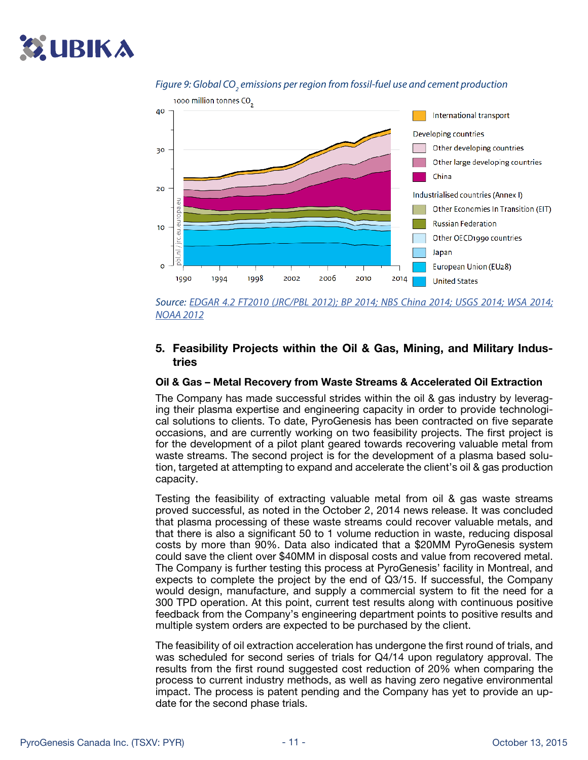# **C. UBIKA**



### Figure 9: Global CO<sub>2</sub> emissions per region from fossil-fuel use and cement production

*Source: [EDGAR 4.2 FT2010 \(JRC/PBL 2012\); BP 2014; NBS China 2014; USGS 2014; WSA 2014;](http://edgar.jrc.ec.europa.eu/news_docs/jrc-2014-trends-in-global-co2-emissions-2014-report-93171.pdf) [NOAA 2012](http://edgar.jrc.ec.europa.eu/news_docs/jrc-2014-trends-in-global-co2-emissions-2014-report-93171.pdf)*

#### 5. Feasibility Projects within the Oil & Gas, Mining, and Military Industries

#### Oil & Gas – Metal Recovery from Waste Streams & Accelerated Oil Extraction

The Company has made successful strides within the oil & gas industry by leveraging their plasma expertise and engineering capacity in order to provide technological solutions to clients. To date, PyroGenesis has been contracted on five separate occasions, and are currently working on two feasibility projects. The first project is for the development of a pilot plant geared towards recovering valuable metal from waste streams. The second project is for the development of a plasma based solution, targeted at attempting to expand and accelerate the client's oil & gas production capacity.

Testing the feasibility of extracting valuable metal from oil & gas waste streams proved successful, as noted in the October 2, 2014 news release. It was concluded that plasma processing of these waste streams could recover valuable metals, and that there is also a significant 50 to 1 volume reduction in waste, reducing disposal costs by more than 90%. Data also indicated that a \$20MM PyroGenesis system could save the client over \$40MM in disposal costs and value from recovered metal. The Company is further testing this process at PyroGenesis' facility in Montreal, and expects to complete the project by the end of Q3/15. If successful, the Company would design, manufacture, and supply a commercial system to fit the need for a 300 TPD operation. At this point, current test results along with continuous positive feedback from the Company's engineering department points to positive results and multiple system orders are expected to be purchased by the client.

The feasibility of oil extraction acceleration has undergone the first round of trials, and was scheduled for second series of trials for Q4/14 upon regulatory approval. The results from the first round suggested cost reduction of 20% when comparing the process to current industry methods, as well as having zero negative environmental impact. The process is patent pending and the Company has yet to provide an update for the second phase trials.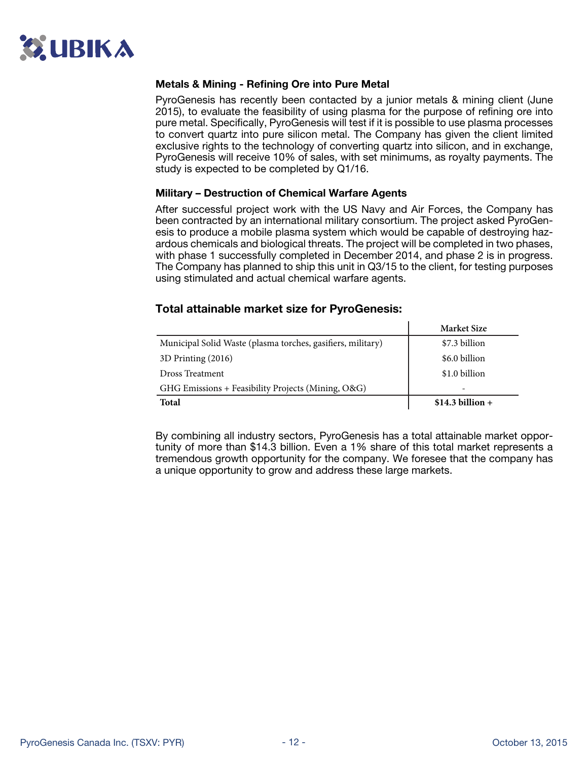

#### Metals & Mining - Refining Ore into Pure Metal

PyroGenesis has recently been contacted by a junior metals & mining client (June 2015), to evaluate the feasibility of using plasma for the purpose of refining ore into pure metal. Specifically, PyroGenesis will test if it is possible to use plasma processes to convert quartz into pure silicon metal. The Company has given the client limited exclusive rights to the technology of converting quartz into silicon, and in exchange, PyroGenesis will receive 10% of sales, with set minimums, as royalty payments. The study is expected to be completed by Q1/16.

#### Military – Destruction of Chemical Warfare Agents

After successful project work with the US Navy and Air Forces, the Company has been contracted by an international military consortium. The project asked PyroGenesis to produce a mobile plasma system which would be capable of destroying hazardous chemicals and biological threats. The project will be completed in two phases, with phase 1 successfully completed in December 2014, and phase 2 is in progress. The Company has planned to ship this unit in Q3/15 to the client, for testing purposes using stimulated and actual chemical warfare agents.

#### Total attainable market size for PyroGenesis:

|                                                             | <b>Market Size</b> |
|-------------------------------------------------------------|--------------------|
| Municipal Solid Waste (plasma torches, gasifiers, military) | \$7.3 billion      |
| 3D Printing (2016)                                          | \$6.0 billion      |
| Dross Treatment                                             | \$1.0 billion      |
| GHG Emissions + Feasibility Projects (Mining, O&G)          | -                  |
| Total                                                       | $$14.3 billion +$  |

By combining all industry sectors, PyroGenesis has a total attainable market opportunity of more than \$14.3 billion. Even a 1% share of this total market represents a tremendous growth opportunity for the company. We foresee that the company has a unique opportunity to grow and address these large markets.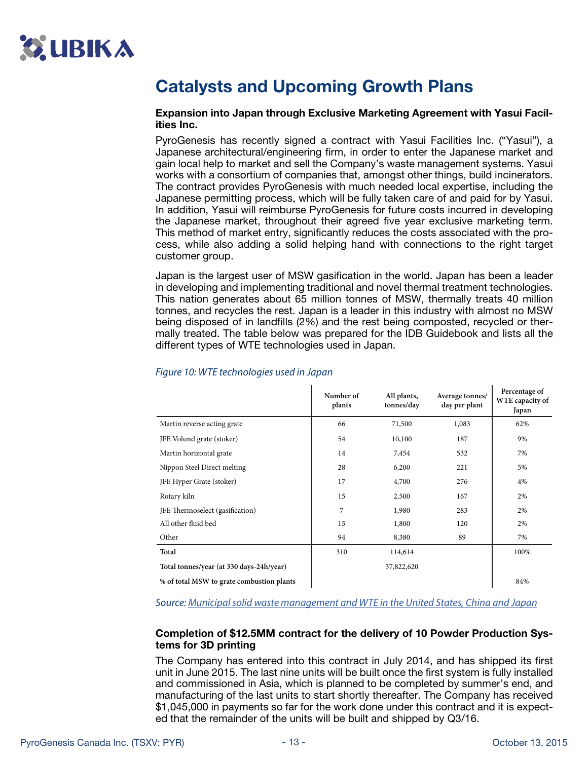# <span id="page-12-0"></span>Catalysts and Upcoming Growth Plans

#### Expansion into Japan through Exclusive Marketing Agreement with Yasui Facilities Inc.

PyroGenesis has recently signed a contract with Yasui Facilities Inc. ("Yasui"), a Japanese architectural/engineering firm, in order to enter the Japanese market and gain local help to market and sell the Company's waste management systems. Yasui works with a consortium of companies that, amongst other things, build incinerators. The contract provides PyroGenesis with much needed local expertise, including the Japanese permitting process, which will be fully taken care of and paid for by Yasui. In addition, Yasui will reimburse PyroGenesis for future costs incurred in developing the Japanese market, throughout their agreed five year exclusive marketing term. This method of market entry, significantly reduces the costs associated with the process, while also adding a solid helping hand with connections to the right target customer group.

Japan is the largest user of MSW gasification in the world. Japan has been a leader in developing and implementing traditional and novel thermal treatment technologies. This nation generates about 65 million tonnes of MSW, thermally treats 40 million tonnes, and recycles the rest. Japan is a leader in this industry with almost no MSW being disposed of in landfills (2%) and the rest being composted, recycled or thermally treated. The table below was prepared for the IDB Guidebook and lists all the different types of WTE technologies used in Japan.

 $\mathbf{I}$ 

|                                           | Number of<br>plants | All plants,<br>tonnes/day | Average tonnes/<br>day per plant | Percentage of<br>WTE capacity of<br>Japan |
|-------------------------------------------|---------------------|---------------------------|----------------------------------|-------------------------------------------|
| Martin reverse acting grate               | 66                  | 71,500                    | 1,083                            | 62%                                       |
| JFE Volund grate (stoker)                 | 54                  | 10,100                    | 187                              | 9%                                        |
| Martin horizontal grate                   | 14                  | 7,454                     | 532                              | 7%                                        |
| Nippon Steel Direct melting               | 28                  | 6,200                     | 221                              | 5%                                        |
| JFE Hyper Grate (stoker)                  | 17                  | 4,700                     | 276                              | 4%                                        |
| Rotary kiln                               | 15                  | 2,500                     | 167                              | 2%                                        |
| JFE Thermoselect (gasification)           | 7                   | 1,980                     | 283                              | 2%                                        |
| All other fluid bed                       | 15                  | 1,800                     | 120                              | 2%                                        |
| Other                                     | 94                  | 8,380                     | 89                               | 7%                                        |
| Total                                     | 310                 | 114,614                   |                                  | 100%                                      |
| Total tonnes/year (at 330 days-24h/year)  |                     | 37,822,620                |                                  |                                           |
| % of total MSW to grate combustion plants |                     |                           |                                  | 84%                                       |

#### *Figure 10: WTE technologies used in Japan*

*Source: [Municipal solid waste management and WTE in the United States, China and Japan](http://elfm.eu/Uploads/ELFM/FILE_73D907E9-8225-4B93-91F8-10F71F59B793.PDF)*

#### Completion of \$12.5MM contract for the delivery of 10 Powder Production Systems for 3D printing

The Company has entered into this contract in July 2014, and has shipped its first unit in June 2015. The last nine units will be built once the first system is fully installed and commissioned in Asia, which is planned to be completed by summer's end, and manufacturing of the last units to start shortly thereafter. The Company has received \$1,045,000 in payments so far for the work done under this contract and it is expected that the remainder of the units will be built and shipped by Q3/16.

 $\mathbf{I}$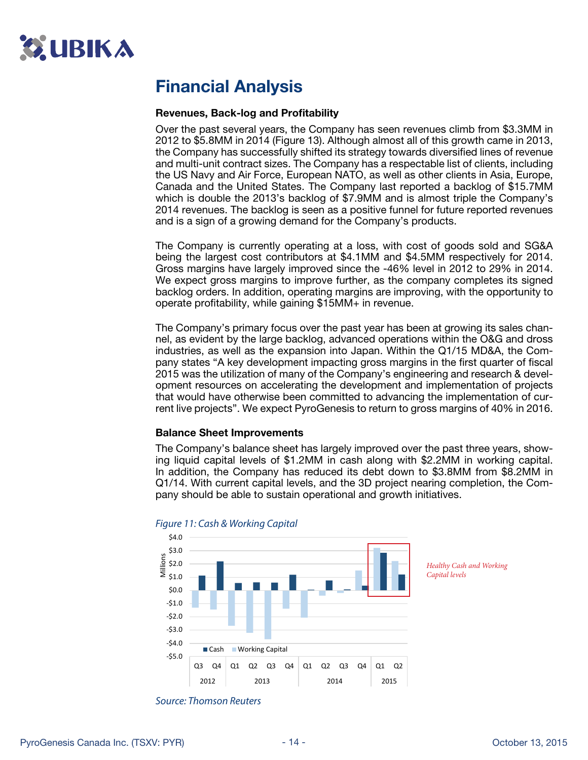<span id="page-13-0"></span>

# Financial Analysis

#### Revenues, Back-log and Profitability

Over the past several years, the Company has seen revenues climb from \$3.3MM in 2012 to \$5.8MM in 2014 (Figure 13). Although almost all of this growth came in 2013, the Company has successfully shifted its strategy towards diversified lines of revenue and multi-unit contract sizes. The Company has a respectable list of clients, including the US Navy and Air Force, European NATO, as well as other clients in Asia, Europe, Canada and the United States. The Company last reported a backlog of \$15.7MM which is double the 2013's backlog of \$7.9MM and is almost triple the Company's 2014 revenues. The backlog is seen as a positive funnel for future reported revenues and is a sign of a growing demand for the Company's products.

The Company is currently operating at a loss, with cost of goods sold and SG&A being the largest cost contributors at \$4.1MM and \$4.5MM respectively for 2014. Gross margins have largely improved since the -46% level in 2012 to 29% in 2014. We expect gross margins to improve further, as the company completes its signed backlog orders. In addition, operating margins are improving, with the opportunity to operate profitability, while gaining \$15MM+ in revenue.

The Company's primary focus over the past year has been at growing its sales channel, as evident by the large backlog, advanced operations within the O&G and dross industries, as well as the expansion into Japan. Within the Q1/15 MD&A, the Company states "A key development impacting gross margins in the first quarter of fiscal 2015 was the utilization of many of the Company's engineering and research & development resources on accelerating the development and implementation of projects that would have otherwise been committed to advancing the implementation of current live projects". We expect PyroGenesis to return to gross margins of 40% in 2016.

#### Balance Sheet Improvements

The Company's balance sheet has largely improved over the past three years, showing liquid capital levels of \$1.2MM in cash along with \$2.2MM in working capital. In addition, the Company has reduced its debt down to \$3.8MM from \$8.2MM in Q1/14. With current capital levels, and the 3D project nearing completion, the Company should be able to sustain operational and growth initiatives.



*Figure 11: Cash & Working Capital*

*Capital levels*

*Healthy Cash and Working* 

*Source: Thomson Reuters*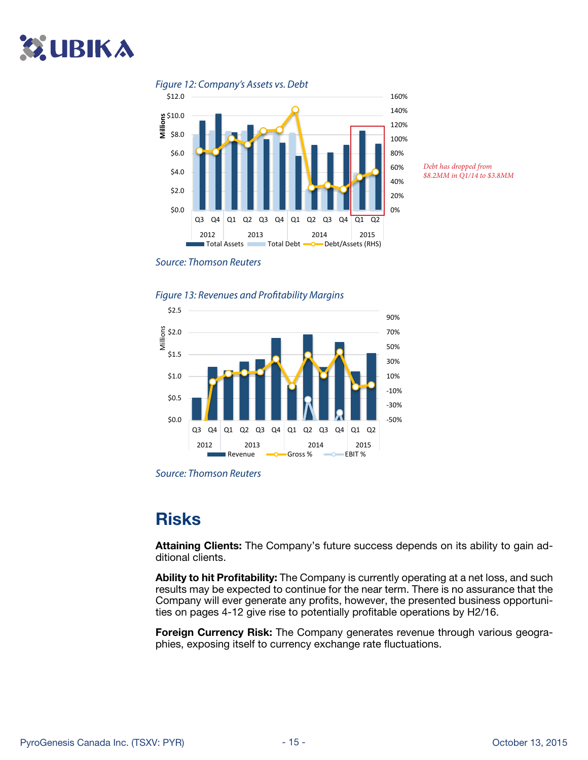# **ZUBIKA**



*Debt has dropped from \$8.2MM in Q1/14 to \$3.8MM*

#### *Source: Thomson Reuters*

*Figure 13: Revenues and Profitability Margins* 



*Source: Thomson Reuters*

## Risks

Attaining Clients: The Company's future success depends on its ability to gain additional clients.

Ability to hit Profitability: The Company is currently operating at a net loss, and such results may be expected to continue for the near term. There is no assurance that the Company will ever generate any profits, however, the presented business opportunities on pages 4-12 give rise to potentially profitable operations by H2/16.

Foreign Currency Risk: The Company generates revenue through various geographies, exposing itself to currency exchange rate fluctuations.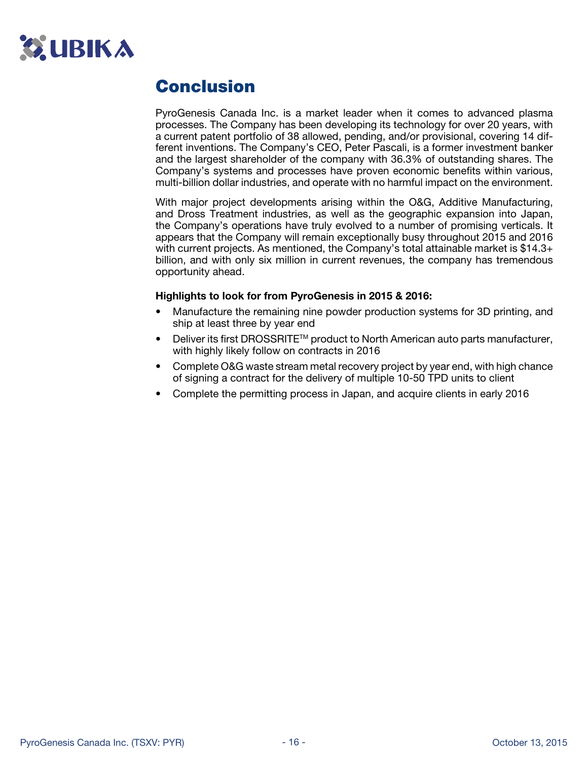

## Conclusion

PyroGenesis Canada Inc. is a market leader when it comes to advanced plasma processes. The Company has been developing its technology for over 20 years, with a current patent portfolio of 38 allowed, pending, and/or provisional, covering 14 different inventions. The Company's CEO, Peter Pascali, is a former investment banker and the largest shareholder of the company with 36.3% of outstanding shares. The Company's systems and processes have proven economic benefits within various, multi-billion dollar industries, and operate with no harmful impact on the environment.

With major project developments arising within the O&G, Additive Manufacturing, and Dross Treatment industries, as well as the geographic expansion into Japan, the Company's operations have truly evolved to a number of promising verticals. It appears that the Company will remain exceptionally busy throughout 2015 and 2016 with current projects. As mentioned, the Company's total attainable market is \$14.3+ billion, and with only six million in current revenues, the company has tremendous opportunity ahead.

#### Highlights to look for from PyroGenesis in 2015 & 2016:

- Manufacture the remaining nine powder production systems for 3D printing, and ship at least three by year end
- Deliver its first DROSSRITE™ product to North American auto parts manufacturer, with highly likely follow on contracts in 2016
- Complete O&G waste stream metal recovery project by year end, with high chance of signing a contract for the delivery of multiple 10-50 TPD units to client
- Complete the permitting process in Japan, and acquire clients in early 2016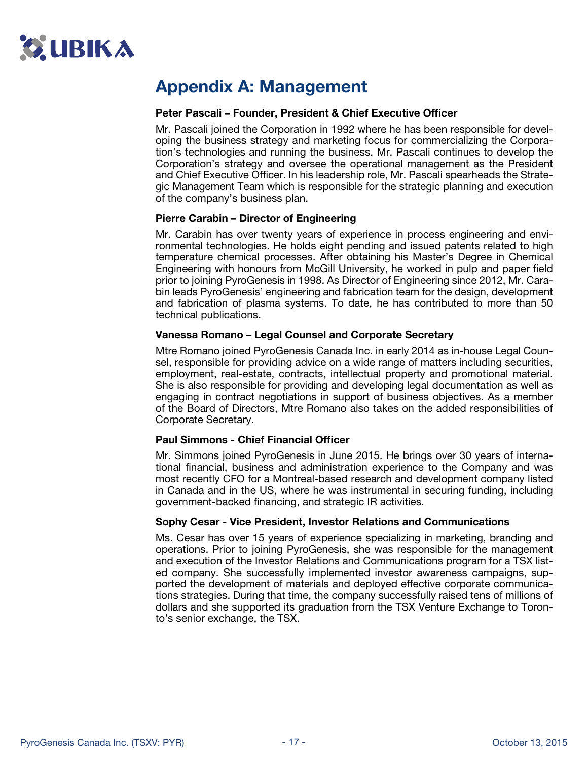

## Appendix A: Management

#### Peter Pascali – Founder, President & Chief Executive Officer

Mr. Pascali joined the Corporation in 1992 where he has been responsible for developing the business strategy and marketing focus for commercializing the Corporation's technologies and running the business. Mr. Pascali continues to develop the Corporation's strategy and oversee the operational management as the President and Chief Executive Officer. In his leadership role, Mr. Pascali spearheads the Strategic Management Team which is responsible for the strategic planning and execution of the company's business plan.

#### Pierre Carabin – Director of Engineering

Mr. Carabin has over twenty years of experience in process engineering and environmental technologies. He holds eight pending and issued patents related to high temperature chemical processes. After obtaining his Master's Degree in Chemical Engineering with honours from McGill University, he worked in pulp and paper field prior to joining PyroGenesis in 1998. As Director of Engineering since 2012, Mr. Carabin leads PyroGenesis' engineering and fabrication team for the design, development and fabrication of plasma systems. To date, he has contributed to more than 50 technical publications.

#### Vanessa Romano – Legal Counsel and Corporate Secretary

Mtre Romano joined PyroGenesis Canada Inc. in early 2014 as in-house Legal Counsel, responsible for providing advice on a wide range of matters including securities, employment, real-estate, contracts, intellectual property and promotional material. She is also responsible for providing and developing legal documentation as well as engaging in contract negotiations in support of business objectives. As a member of the Board of Directors, Mtre Romano also takes on the added responsibilities of Corporate Secretary.

#### Paul Simmons - Chief Financial Officer

Mr. Simmons joined PyroGenesis in June 2015. He brings over 30 years of international financial, business and administration experience to the Company and was most recently CFO for a Montreal-based research and development company listed in Canada and in the US, where he was instrumental in securing funding, including government-backed financing, and strategic IR activities.

#### Sophy Cesar - Vice President, Investor Relations and Communications

Ms. Cesar has over 15 years of experience specializing in marketing, branding and operations. Prior to joining PyroGenesis, she was responsible for the management and execution of the Investor Relations and Communications program for a TSX listed company. She successfully implemented investor awareness campaigns, supported the development of materials and deployed effective corporate communications strategies. During that time, the company successfully raised tens of millions of dollars and she supported its graduation from the TSX Venture Exchange to Toronto's senior exchange, the TSX.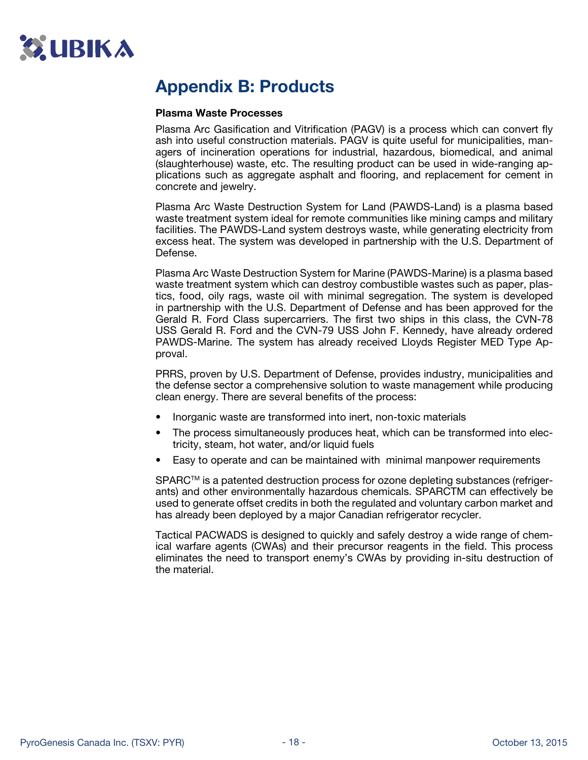<span id="page-17-0"></span>

## Appendix B: Products

#### Plasma Waste Processes

Plasma Arc Gasification and Vitrification (PAGV) is a process which can convert fly ash into useful construction materials. PAGV is quite useful for municipalities, managers of incineration operations for industrial, hazardous, biomedical, and animal (slaughterhouse) waste, etc. The resulting product can be used in wide-ranging applications such as aggregate asphalt and flooring, and replacement for cement in concrete and jewelry.

Plasma Arc Waste Destruction System for Land (PAWDS-Land) is a plasma based waste treatment system ideal for remote communities like mining camps and military facilities. The PAWDS-Land system destroys waste, while generating electricity from excess heat. The system was developed in partnership with the U.S. Department of Defense.

Plasma Arc Waste Destruction System for Marine (PAWDS-Marine) is a plasma based waste treatment system which can destroy combustible wastes such as paper, plastics, food, oily rags, waste oil with minimal segregation. The system is developed in partnership with the U.S. Department of Defense and has been approved for the Gerald R. Ford Class supercarriers. The first two ships in this class, the CVN-78 USS Gerald R. Ford and the CVN-79 USS John F. Kennedy, have already ordered PAWDS-Marine. The system has already received Lloyds Register MED Type Approval.

PRRS, proven by U.S. Department of Defense, provides industry, municipalities and the defense sector a comprehensive solution to waste management while producing clean energy. There are several benefits of the process:

- Inorganic waste are transformed into inert, non-toxic materials
- The process simultaneously produces heat, which can be transformed into electricity, steam, hot water, and/or liquid fuels
- Easy to operate and can be maintained with minimal manpower requirements

SPARC™ is a patented destruction process for ozone depleting substances (refrigerants) and other environmentally hazardous chemicals. SPARCTM can effectively be used to generate offset credits in both the regulated and voluntary carbon market and has already been deployed by a major Canadian refrigerator recycler.

Tactical PACWADS is designed to quickly and safely destroy a wide range of chemical warfare agents (CWAs) and their precursor reagents in the field. This process eliminates the need to transport enemy's CWAs by providing in-situ destruction of the material.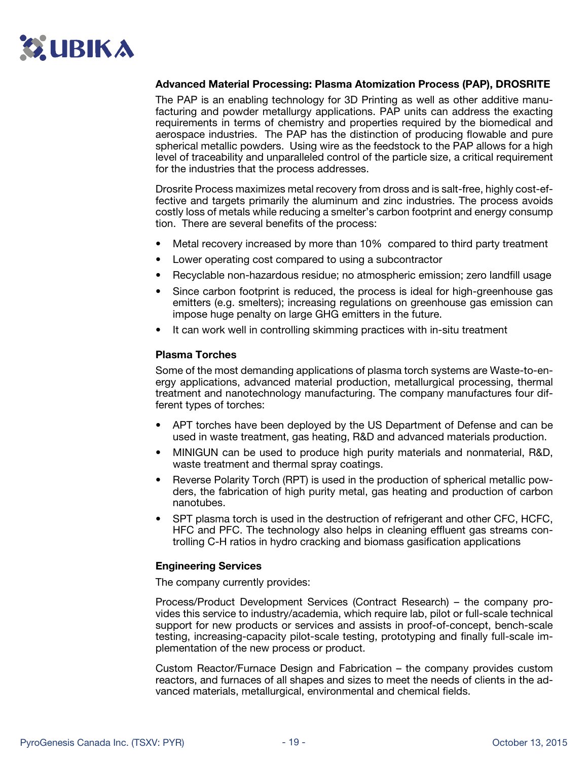

#### Advanced Material Processing: Plasma Atomization Process (PAP), DROSRITE

The PAP is an enabling technology for 3D Printing as well as other additive manufacturing and powder metallurgy applications. PAP units can address the exacting requirements in terms of chemistry and properties required by the biomedical and aerospace industries. The PAP has the distinction of producing flowable and pure spherical metallic powders. Using wire as the feedstock to the PAP allows for a high level of traceability and unparalleled control of the particle size, a critical requirement for the industries that the process addresses.

Drosrite Process maximizes metal recovery from dross and is salt-free, highly cost-effective and targets primarily the aluminum and zinc industries. The process avoids costly loss of metals while reducing a smelter's carbon footprint and energy consump tion. There are several benefits of the process:

- Metal recovery increased by more than 10% compared to third party treatment
- Lower operating cost compared to using a subcontractor
- Recyclable non-hazardous residue; no atmospheric emission; zero landfill usage
- Since carbon footprint is reduced, the process is ideal for high-greenhouse gas emitters (e.g. smelters); increasing regulations on greenhouse gas emission can impose huge penalty on large GHG emitters in the future.
- It can work well in controlling skimming practices with in-situ treatment

#### Plasma Torches

Some of the most demanding applications of plasma torch systems are Waste-to-energy applications, advanced material production, metallurgical processing, thermal treatment and nanotechnology manufacturing. The company manufactures four different types of torches:

- APT torches have been deployed by the US Department of Defense and can be used in waste treatment, gas heating, R&D and advanced materials production.
- MINIGUN can be used to produce high purity materials and nonmaterial, R&D, waste treatment and thermal spray coatings.
- Reverse Polarity Torch (RPT) is used in the production of spherical metallic powders, the fabrication of high purity metal, gas heating and production of carbon nanotubes.
- SPT plasma torch is used in the destruction of refrigerant and other CFC, HCFC, HFC and PFC. The technology also helps in cleaning effluent gas streams controlling C-H ratios in hydro cracking and biomass gasification applications

#### Engineering Services

The company currently provides:

Process/Product Development Services (Contract Research) – the company provides this service to industry/academia, which require lab, pilot or full-scale technical support for new products or services and assists in proof-of-concept, bench-scale testing, increasing-capacity pilot-scale testing, prototyping and finally full-scale implementation of the new process or product.

Custom Reactor/Furnace Design and Fabrication – the company provides custom reactors, and furnaces of all shapes and sizes to meet the needs of clients in the advanced materials, metallurgical, environmental and chemical fields.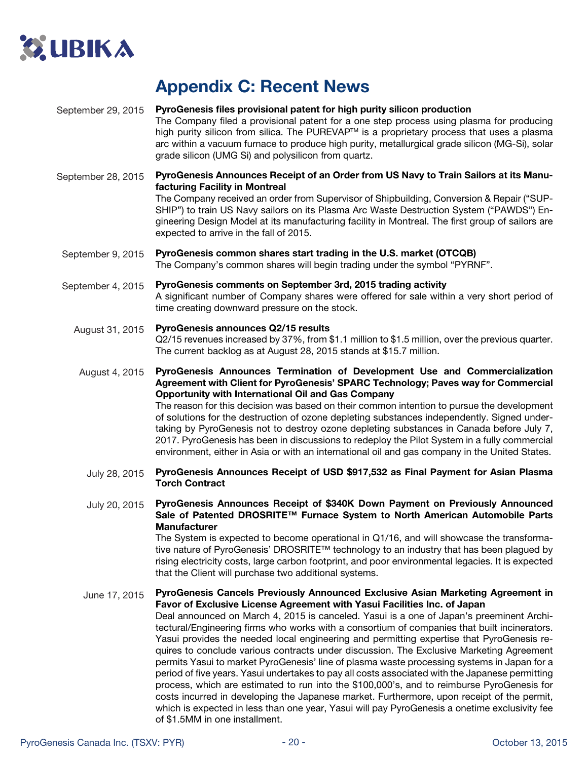

## Appendix C: Recent News

#### PyroGenesis files provisional patent for high purity silicon production September 29, 2015

The Company filed a provisional patent for a one step process using plasma for producing high purity silicon from silica. The PUREVAP<sup>TM</sup> is a proprietary process that uses a plasma arc within a vacuum furnace to produce high purity, metallurgical grade silicon (MG-Si), solar grade silicon (UMG Si) and polysilicon from quartz.

PyroGenesis Announces Receipt of an Order from US Navy to Train Sailors at its Manufacturing Facility in Montreal The Company received an order from Supervisor of Shipbuilding, Conversion & Repair ("SUP-September 28, 2015

SHIP") to train US Navy sailors on its Plasma Arc Waste Destruction System ("PAWDS") Engineering Design Model at its manufacturing facility in Montreal. The first group of sailors are expected to arrive in the fall of 2015.

PyroGenesis common shares start trading in the U.S. market (OTCQB) The Company's common shares will begin trading under the symbol "PYRNF". September 9, 2015

PyroGenesis comments on September 3rd, 2015 trading activity A significant number of Company shares were offered for sale within a very short period of time creating downward pressure on the stock. September 4, 2015

PyroGenesis announces Q2/15 results Q2/15 revenues increased by 37%, from \$1.1 million to \$1.5 million, over the previous quarter. The current backlog as at August 28, 2015 stands at \$15.7 million. August 31, 2015

PyroGenesis Announces Termination of Development Use and Commercialization Agreement with Client for PyroGenesis' SPARC Technology; Paves way for Commercial Opportunity with International Oil and Gas Company The reason for this decision was based on their common intention to pursue the development of solutions for the destruction of ozone depleting substances independently. Signed undertaking by PyroGenesis not to destroy ozone depleting substances in Canada before July 7, 2017. PyroGenesis has been in discussions to redeploy the Pilot System in a fully commercial environment, either in Asia or with an international oil and gas company in the United States. August 4, 2015

PyroGenesis Announces Receipt of USD \$917,532 as Final Payment for Asian Plasma Torch Contract July 28, 2015

PyroGenesis Announces Receipt of \$340K Down Payment on Previously Announced Sale of Patented DROSRITE™ Furnace System to North American Automobile Parts **Manufacturer** July 20, 2015

The System is expected to become operational in Q1/16, and will showcase the transformative nature of PyroGenesis' DROSRITE™ technology to an industry that has been plagued by rising electricity costs, large carbon footprint, and poor environmental legacies. It is expected that the Client will purchase two additional systems.

PyroGenesis Cancels Previously Announced Exclusive Asian Marketing Agreement in Favor of Exclusive License Agreement with Yasui Facilities Inc. of Japan Deal announced on March 4, 2015 is canceled. Yasui is a one of Japan's preeminent Architectural/Engineering firms who works with a consortium of companies that built incinerators. Yasui provides the needed local engineering and permitting expertise that PyroGenesis requires to conclude various contracts under discussion. The Exclusive Marketing Agreement permits Yasui to market PyroGenesis' line of plasma waste processing systems in Japan for a period of five years. Yasui undertakes to pay all costs associated with the Japanese permitting process, which are estimated to run into the \$100,000's, and to reimburse PyroGenesis for costs incurred in developing the Japanese market. Furthermore, upon receipt of the permit, which is expected in less than one year, Yasui will pay PyroGenesis a onetime exclusivity fee of \$1.5MM in one installment. June 17, 2015